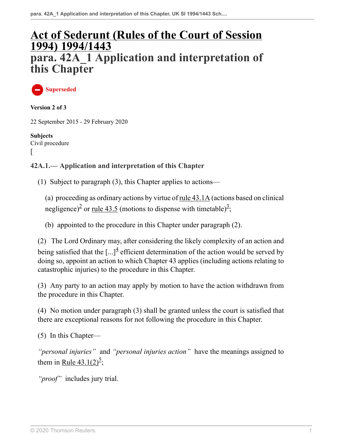# **[Act of Sederunt \(Rules of the Court of Session](http://uk.westlaw.com/Document/I776FB9D0E42311DAA7CF8F68F6EE57AB/View/FullText.html?originationContext=document&transitionType=DocumentItem&vr=3.0&rs=PLUK1.0&contextData=(sc.DocLink)) [1994\) 1994/1443](http://uk.westlaw.com/Document/I776FB9D0E42311DAA7CF8F68F6EE57AB/View/FullText.html?originationContext=document&transitionType=DocumentItem&vr=3.0&rs=PLUK1.0&contextData=(sc.DocLink)) para. 42A\_1 Application and interpretation of this Chapter**

**Superseded**

**Version 2 of 3**

22 September 2015 - 29 February 2020

**Subjects** Civil procedure  $\overline{ }$ 

#### **42A.1.— Application and interpretation of this Chapter**

(1) Subject to paragraph (3), this Chapter applies to actions—

<span id="page-0-1"></span><span id="page-0-0"></span>(a) proceeding as ordinary actions by virtue of [rule 43.1A](http://uk.westlaw.com/Document/I7C98C8A0013E11DCAE3CDE3D1A2C0ACC/View/FullText.html?originationContext=document&transitionType=DocumentItem&vr=3.0&rs=PLUK1.0&contextData=(sc.DocLink)) (actions based on clinical negligence)<sup>[2](#page-1-0)</sup> or <u>[rule 43.5](http://uk.westlaw.com/Document/I9A4A3461E44D11DA8D70A0E70A78ED65/View/FullText.html?originationContext=document&transitionType=DocumentItem&vr=3.0&rs=PLUK1.0&contextData=(sc.DocLink))</u> (motions to dispense with timetable)<sup>[3](#page-1-1)</sup>;

<span id="page-0-2"></span>(b) appointed to the procedure in this Chapter under paragraph (2).

(2) The Lord Ordinary may, after considering the likely complexity of an action and being satisfied that the  $\left[\ldots\right]^4$  $\left[\ldots\right]^4$  efficient determination of the action would be served by doing so, appoint an action to which Chapter 43 applies (including actions relating to catastrophic injuries) to the procedure in this Chapter.

(3) Any party to an action may apply by motion to have the action withdrawn from the procedure in this Chapter.

(4) No motion under paragraph (3) shall be granted unless the court is satisfied that there are exceptional reasons for not following the procedure in this Chapter.

(5) In this Chapter—

<span id="page-0-3"></span>*"personal injuries"* and *"personal injuries action"* have the meanings assigned to them in <u>[Rule 43.1\(2\)](http://uk.westlaw.com/Document/I9A43CBC1E44D11DA8D70A0E70A78ED65/View/FullText.html?originationContext=document&transitionType=DocumentItem&vr=3.0&rs=PLUK1.0&contextData=(sc.DocLink))<sup>[5](#page-1-3)</sup></u>;

*"proof"* includes jury trial.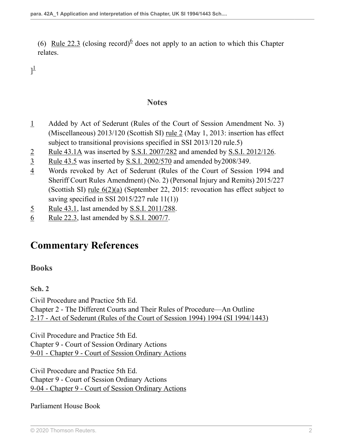(6) [Rule 22.3](http://uk.westlaw.com/Document/IB447E600E44811DA8D70A0E70A78ED65/View/FullText.html?originationContext=document&transitionType=DocumentItem&vr=3.0&rs=PLUK1.0&contextData=(sc.DocLink)) (closing record)<sup>[6](#page-1-4)</sup> does not apply to an action to which this Chapter relates.

<span id="page-1-6"></span> $]^{1}$  $]^{1}$  $]^{1}$ 

#### <span id="page-1-7"></span>**Notes**

- <span id="page-1-5"></span>[1](#page-1-6) Added by Act of Sederunt (Rules of the Court of Session Amendment No. 3) (Miscellaneous) 2013/120 (Scottish SI) [rule 2](http://uk.westlaw.com/Document/I3FFB53109DD011E299449EB47CA92303/View/FullText.html?originationContext=document&transitionType=DocumentItem&vr=3.0&rs=PLUK1.0&contextData=(sc.DocLink)) (May 1, 2013: insertion has effect subject to transitional provisions specified in SSI 2013/120 rule.5)
- <span id="page-1-0"></span>[2](#page-0-0) [Rule 43.1A](http://uk.westlaw.com/Document/I7C98C8A0013E11DCAE3CDE3D1A2C0ACC/View/FullText.html?originationContext=document&transitionType=DocumentItem&vr=3.0&rs=PLUK1.0&contextData=(sc.DocLink)) was inserted by [S.S.I. 2007/282](http://uk.westlaw.com/Document/IC55BE470FB7911DBAD57A3EB470FA7A5/View/FullText.html?originationContext=document&transitionType=DocumentItem&vr=3.0&rs=PLUK1.0&contextData=(sc.DocLink)) and amended by [S.S.I. 2012/126.](http://uk.westlaw.com/Document/I2798E9A093B211E1B6C2B725B1197592/View/FullText.html?originationContext=document&transitionType=DocumentItem&vr=3.0&rs=PLUK1.0&contextData=(sc.DocLink))
- <span id="page-1-1"></span>[3](#page-0-1) [Rule 43.5](http://uk.westlaw.com/Document/I9A4A3461E44D11DA8D70A0E70A78ED65/View/FullText.html?originationContext=document&transitionType=DocumentItem&vr=3.0&rs=PLUK1.0&contextData=(sc.DocLink)) was inserted by [S.S.I. 2002/570](http://uk.westlaw.com/Document/I6B90F020E42311DAA7CF8F68F6EE57AB/View/FullText.html?originationContext=document&transitionType=DocumentItem&vr=3.0&rs=PLUK1.0&contextData=(sc.DocLink)) and amended by2008/349.
- <span id="page-1-2"></span>[4](#page-0-2) Words revoked by Act of Sederunt (Rules of the Court of Session 1994 and Sheriff Court Rules Amendment) (No. 2) (Personal Injury and Remits) 2015/227 (Scottish SI) [rule 6\(2\)\(a\)](http://uk.westlaw.com/Document/I3D9CC2A00F1D11E58C9EC6045C652645/View/FullText.html?originationContext=document&transitionType=DocumentItem&vr=3.0&rs=PLUK1.0&contextData=(sc.DocLink)) (September 22, 2015: revocation has effect subject to saving specified in SSI 2015/227 rule 11(1))
- <span id="page-1-3"></span>[5](#page-0-3) [Rule 43.1,](http://uk.westlaw.com/Document/I9A43CBC1E44D11DA8D70A0E70A78ED65/View/FullText.html?originationContext=document&transitionType=DocumentItem&vr=3.0&rs=PLUK1.0&contextData=(sc.DocLink)) last amended by [S.S.I. 2011/288](http://uk.westlaw.com/Document/ID50D14407B0511DD8A6BE5FD9BF412F8/View/FullText.html?originationContext=document&transitionType=DocumentItem&vr=3.0&rs=PLUK1.0&contextData=(sc.DocLink)).
- <span id="page-1-4"></span>[6](#page-1-7) [Rule 22.3,](http://uk.westlaw.com/Document/IB447E600E44811DA8D70A0E70A78ED65/View/FullText.html?originationContext=document&transitionType=DocumentItem&vr=3.0&rs=PLUK1.0&contextData=(sc.DocLink)) last amended by [S.S.I. 2007/7.](http://uk.westlaw.com/Document/I367E26A0B3F811DB8284C2EBF4BAF88B/View/FullText.html?originationContext=document&transitionType=DocumentItem&vr=3.0&rs=PLUK1.0&contextData=(sc.DocLink))

## **Commentary References**

#### **Books**

#### **Sch. 2**

Civil Procedure and Practice 5th Ed. Chapter 2 - The Different Courts and Their Rules of Procedure—An Outline [2-17 - Act of Sederunt \(Rules of the Court of Session 1994\) 1994 \(SI 1994/1443\)](https://uk.westlaw.com/Link/Document/FullText?findType=Y&serNum=474428184&pubNum=231858&refType=UB&originationContext=ukCommentaryReferences&contextData=%28sc.DocLink%29&transitionType=UkCommentaryReferences )

Civil Procedure and Practice 5th Ed. Chapter 9 - Court of Session Ordinary Actions [9-01 - Chapter 9 - Court of Session Ordinary Actions](https://uk.westlaw.com/Link/Document/FullText?findType=Y&serNum=474428228&pubNum=231858&refType=UB&originationContext=ukCommentaryReferences&contextData=%28sc.DocLink%29&transitionType=UkCommentaryReferences )

Civil Procedure and Practice 5th Ed. Chapter 9 - Court of Session Ordinary Actions [9-04 - Chapter 9 - Court of Session Ordinary Actions](https://uk.westlaw.com/Link/Document/FullText?findType=Y&serNum=474428228&pubNum=231858&refType=UB&originationContext=ukCommentaryReferences&contextData=%28sc.DocLink%29&transitionType=UkCommentaryReferences )

Parliament House Book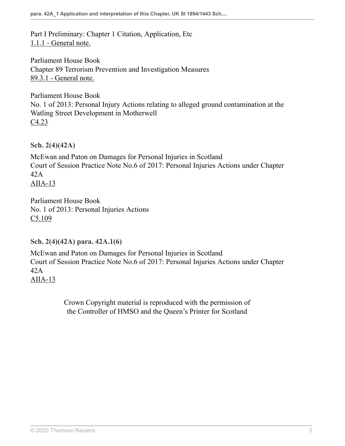Part I Preliminary: Chapter 1 Citation, Application, Etc [1.1.1 - General note.](https://uk.westlaw.com/Link/Document/FullText?findType=Y&serNum=492091820&pubNum=231978&refType=UB&originationContext=ukCommentaryReferences&contextData=%28sc.DocLink%29&transitionType=UkCommentaryReferences )

Parliament House Book Chapter 89 Terrorism Prevention and Investigation Measures [89.3.1 - General note.](https://uk.westlaw.com/Link/Document/FullText?findType=Y&serNum=465603293&pubNum=231978&refType=UB&originationContext=ukCommentaryReferences&contextData=%28sc.DocLink%29&transitionType=UkCommentaryReferences )

Parliament House Book No. 1 of 2013: Personal Injury Actions relating to alleged ground contamination at the Watling Street Development in Motherwell [C4.23](https://uk.westlaw.com/Link/Document/FullText?findType=Y&serNum=465603425&pubNum=231978&refType=UB&originationContext=ukCommentaryReferences&contextData=%28sc.DocLink%29&transitionType=UkCommentaryReferences )

**Sch. 2(4)(42A)**

McEwan and Paton on Damages for Personal Injuries in Scotland Court of Session Practice Note No.6 of 2017: Personal Injuries Actions under Chapter 42A [AIIA-13](https://uk.westlaw.com/Link/Document/FullText?findType=Y&serNum=466003358&pubNum=231968&refType=UB&originationContext=ukCommentaryReferences&contextData=%28sc.DocLink%29&transitionType=UkCommentaryReferences )

Parliament House Book No. 1 of 2013: Personal Injuries Actions [C5.109](https://uk.westlaw.com/Link/Document/FullText?findType=Y&serNum=465603539&pubNum=231978&refType=UB&originationContext=ukCommentaryReferences&contextData=%28sc.DocLink%29&transitionType=UkCommentaryReferences )

**Sch. 2(4)(42A) para. 42A.1(6)**

McEwan and Paton on Damages for Personal Injuries in Scotland Court of Session Practice Note No.6 of 2017: Personal Injuries Actions under Chapter 42A [AIIA-13](https://uk.westlaw.com/Link/Document/FullText?findType=Y&serNum=466003358&pubNum=231968&refType=UB&originationContext=ukCommentaryReferences&contextData=%28sc.DocLink%29&transitionType=UkCommentaryReferences )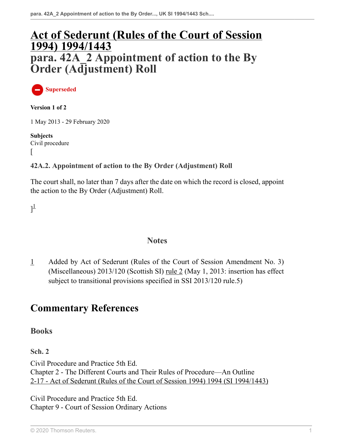# **[Act of Sederunt \(Rules of the Court of Session](http://uk.westlaw.com/Document/I776FB9D0E42311DAA7CF8F68F6EE57AB/View/FullText.html?originationContext=document&transitionType=DocumentItem&vr=3.0&rs=PLUK1.0&contextData=(sc.DocLink)) [1994\) 1994/1443](http://uk.westlaw.com/Document/I776FB9D0E42311DAA7CF8F68F6EE57AB/View/FullText.html?originationContext=document&transitionType=DocumentItem&vr=3.0&rs=PLUK1.0&contextData=(sc.DocLink)) para. 42A\_2 Appointment of action to the By Order (Adjustment) Roll**

**Superseded**

**Version 1 of 2**

1 May 2013 - 29 February 2020

**Subjects** Civil procedure  $\overline{ }$ 

#### **42A.2. Appointment of action to the By Order (Adjustment) Roll**

The court shall, no later than 7 days after the date on which the record is closed, appoint the action to the By Order (Adjustment) Roll.

<span id="page-3-1"></span> $]^{1}$  $]^{1}$  $]^{1}$ 

#### **Notes**

<span id="page-3-0"></span>[1](#page-3-1) Added by Act of Sederunt (Rules of the Court of Session Amendment No. 3) (Miscellaneous) 2013/120 (Scottish SI) [rule 2](http://uk.westlaw.com/Document/I3FFB53109DD011E299449EB47CA92303/View/FullText.html?originationContext=document&transitionType=DocumentItem&vr=3.0&rs=PLUK1.0&contextData=(sc.DocLink)) (May 1, 2013: insertion has effect subject to transitional provisions specified in SSI 2013/120 rule.5)

# **Commentary References**

**Books**

**Sch. 2**

Civil Procedure and Practice 5th Ed. Chapter 2 - The Different Courts and Their Rules of Procedure—An Outline [2-17 - Act of Sederunt \(Rules of the Court of Session 1994\) 1994 \(SI 1994/1443\)](https://uk.westlaw.com/Link/Document/FullText?findType=Y&serNum=474428184&pubNum=231858&refType=UB&originationContext=ukCommentaryReferences&contextData=%28sc.DocLink%29&transitionType=UkCommentaryReferences )

Civil Procedure and Practice 5th Ed. Chapter 9 - Court of Session Ordinary Actions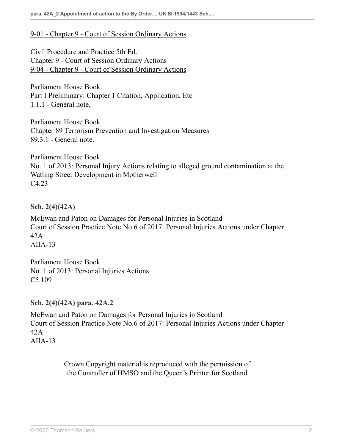#### [9-01 - Chapter 9 - Court of Session Ordinary Actions](https://uk.westlaw.com/Link/Document/FullText?findType=Y&serNum=474428228&pubNum=231858&refType=UB&originationContext=ukCommentaryReferences&contextData=%28sc.DocLink%29&transitionType=UkCommentaryReferences )

Civil Procedure and Practice 5th Ed. Chapter 9 - Court of Session Ordinary Actions [9-04 - Chapter 9 - Court of Session Ordinary Actions](https://uk.westlaw.com/Link/Document/FullText?findType=Y&serNum=474428228&pubNum=231858&refType=UB&originationContext=ukCommentaryReferences&contextData=%28sc.DocLink%29&transitionType=UkCommentaryReferences )

Parliament House Book Part I Preliminary: Chapter 1 Citation, Application, Etc [1.1.1 - General note.](https://uk.westlaw.com/Link/Document/FullText?findType=Y&serNum=492091820&pubNum=231978&refType=UB&originationContext=ukCommentaryReferences&contextData=%28sc.DocLink%29&transitionType=UkCommentaryReferences )

Parliament House Book Chapter 89 Terrorism Prevention and Investigation Measures [89.3.1 - General note.](https://uk.westlaw.com/Link/Document/FullText?findType=Y&serNum=465603293&pubNum=231978&refType=UB&originationContext=ukCommentaryReferences&contextData=%28sc.DocLink%29&transitionType=UkCommentaryReferences )

Parliament House Book No. 1 of 2013: Personal Injury Actions relating to alleged ground contamination at the Watling Street Development in Motherwell [C4.23](https://uk.westlaw.com/Link/Document/FullText?findType=Y&serNum=465603425&pubNum=231978&refType=UB&originationContext=ukCommentaryReferences&contextData=%28sc.DocLink%29&transitionType=UkCommentaryReferences )

**Sch. 2(4)(42A)**

McEwan and Paton on Damages for Personal Injuries in Scotland Court of Session Practice Note No.6 of 2017: Personal Injuries Actions under Chapter 42A [AIIA-13](https://uk.westlaw.com/Link/Document/FullText?findType=Y&serNum=466003358&pubNum=231968&refType=UB&originationContext=ukCommentaryReferences&contextData=%28sc.DocLink%29&transitionType=UkCommentaryReferences )

Parliament House Book No. 1 of 2013: Personal Injuries Actions [C5.109](https://uk.westlaw.com/Link/Document/FullText?findType=Y&serNum=465603539&pubNum=231978&refType=UB&originationContext=ukCommentaryReferences&contextData=%28sc.DocLink%29&transitionType=UkCommentaryReferences )

**Sch. 2(4)(42A) para. 42A.2**

McEwan and Paton on Damages for Personal Injuries in Scotland Court of Session Practice Note No.6 of 2017: Personal Injuries Actions under Chapter 42A [AIIA-13](https://uk.westlaw.com/Link/Document/FullText?findType=Y&serNum=466003358&pubNum=231968&refType=UB&originationContext=ukCommentaryReferences&contextData=%28sc.DocLink%29&transitionType=UkCommentaryReferences )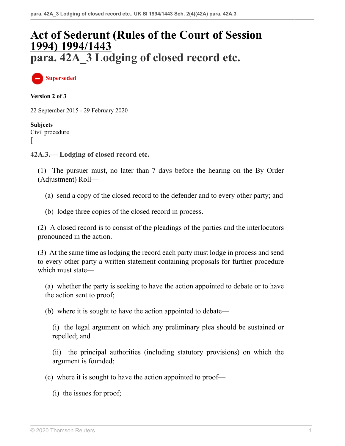# **[Act of Sederunt \(Rules of the Court of Session](http://uk.westlaw.com/Document/I776FB9D0E42311DAA7CF8F68F6EE57AB/View/FullText.html?originationContext=document&transitionType=DocumentItem&vr=3.0&rs=PLUK1.0&contextData=(sc.DocLink)) [1994\) 1994/1443](http://uk.westlaw.com/Document/I776FB9D0E42311DAA7CF8F68F6EE57AB/View/FullText.html?originationContext=document&transitionType=DocumentItem&vr=3.0&rs=PLUK1.0&contextData=(sc.DocLink)) para. 42A\_3 Lodging of closed record etc.**

**Superseded**

**Version 2 of 3**

22 September 2015 - 29 February 2020

**Subjects** Civil procedure [

**42A.3.— Lodging of closed record etc.**

(1) The pursuer must, no later than 7 days before the hearing on the By Order (Adjustment) Roll—

- (a) send a copy of the closed record to the defender and to every other party; and
- (b) lodge three copies of the closed record in process.

(2) A closed record is to consist of the pleadings of the parties and the interlocutors pronounced in the action.

(3) At the same time as lodging the record each party must lodge in process and send to every other party a written statement containing proposals for further procedure which must state—

(a) whether the party is seeking to have the action appointed to debate or to have the action sent to proof;

(b) where it is sought to have the action appointed to debate—

(i) the legal argument on which any preliminary plea should be sustained or repelled; and

(ii) the principal authorities (including statutory provisions) on which the argument is founded;

(c) where it is sought to have the action appointed to proof—

(i) the issues for proof;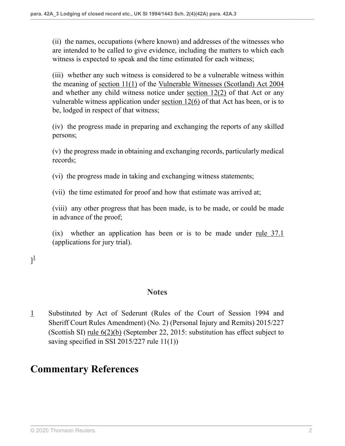(ii) the names, occupations (where known) and addresses of the witnesses who are intended to be called to give evidence, including the matters to which each witness is expected to speak and the time estimated for each witness;

(iii) whether any such witness is considered to be a vulnerable witness within the meaning of [section 11\(1\)](http://uk.westlaw.com/Document/I83AE7270E45211DA8D70A0E70A78ED65/View/FullText.html?originationContext=document&transitionType=DocumentItem&vr=3.0&rs=PLUK1.0&contextData=(sc.DocLink)) of the [Vulnerable Witnesses \(Scotland\) Act 2004](http://uk.westlaw.com/Document/I5F9576B1E42311DAA7CF8F68F6EE57AB/View/FullText.html?originationContext=document&transitionType=DocumentItem&vr=3.0&rs=PLUK1.0&contextData=(sc.DocLink)) and whether any child witness notice under [section 12\(2\)](http://uk.westlaw.com/Document/I349ACE31E45311DA8D70A0E70A78ED65/View/FullText.html?originationContext=document&transitionType=DocumentItem&vr=3.0&rs=PLUK1.0&contextData=(sc.DocLink)) of that Act or any vulnerable witness application under section  $12(6)$  of that Act has been, or is to be, lodged in respect of that witness;

(iv) the progress made in preparing and exchanging the reports of any skilled persons;

(v) the progress made in obtaining and exchanging records, particularly medical records;

(vi) the progress made in taking and exchanging witness statements;

(vii) the time estimated for proof and how that estimate was arrived at;

(viii) any other progress that has been made, is to be made, or could be made in advance of the proof;

(ix) whether an application has been or is to be made under [rule 37.1](http://uk.westlaw.com/Document/IB46DBD80E44811DA8D70A0E70A78ED65/View/FullText.html?originationContext=document&transitionType=DocumentItem&vr=3.0&rs=PLUK1.0&contextData=(sc.DocLink)) (applications for jury trial).

## <span id="page-6-1"></span> $]^{1}$  $]^{1}$  $]^{1}$

#### **Notes**

<span id="page-6-0"></span>[1](#page-6-1) Substituted by Act of Sederunt (Rules of the Court of Session 1994 and Sheriff Court Rules Amendment) (No. 2) (Personal Injury and Remits) 2015/227 (Scottish SI) [rule 6\(2\)\(b\)](http://uk.westlaw.com/Document/I3D9CC2A00F1D11E58C9EC6045C652645/View/FullText.html?originationContext=document&transitionType=DocumentItem&vr=3.0&rs=PLUK1.0&contextData=(sc.DocLink)) (September 22, 2015: substitution has effect subject to saving specified in SSI 2015/227 rule 11(1))

## **Commentary References**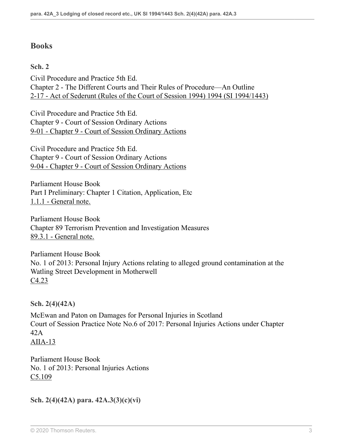### **Books**

**Sch. 2**

Civil Procedure and Practice 5th Ed. Chapter 2 - The Different Courts and Their Rules of Procedure—An Outline [2-17 - Act of Sederunt \(Rules of the Court of Session 1994\) 1994 \(SI 1994/1443\)](https://uk.westlaw.com/Link/Document/FullText?findType=Y&serNum=474428184&pubNum=231858&refType=UB&originationContext=ukCommentaryReferences&contextData=%28sc.DocLink%29&transitionType=UkCommentaryReferences )

Civil Procedure and Practice 5th Ed. Chapter 9 - Court of Session Ordinary Actions [9-01 - Chapter 9 - Court of Session Ordinary Actions](https://uk.westlaw.com/Link/Document/FullText?findType=Y&serNum=474428228&pubNum=231858&refType=UB&originationContext=ukCommentaryReferences&contextData=%28sc.DocLink%29&transitionType=UkCommentaryReferences )

Civil Procedure and Practice 5th Ed. Chapter 9 - Court of Session Ordinary Actions [9-04 - Chapter 9 - Court of Session Ordinary Actions](https://uk.westlaw.com/Link/Document/FullText?findType=Y&serNum=474428228&pubNum=231858&refType=UB&originationContext=ukCommentaryReferences&contextData=%28sc.DocLink%29&transitionType=UkCommentaryReferences )

Parliament House Book Part I Preliminary: Chapter 1 Citation, Application, Etc [1.1.1 - General note.](https://uk.westlaw.com/Link/Document/FullText?findType=Y&serNum=492091820&pubNum=231978&refType=UB&originationContext=ukCommentaryReferences&contextData=%28sc.DocLink%29&transitionType=UkCommentaryReferences )

Parliament House Book Chapter 89 Terrorism Prevention and Investigation Measures [89.3.1 - General note.](https://uk.westlaw.com/Link/Document/FullText?findType=Y&serNum=465603293&pubNum=231978&refType=UB&originationContext=ukCommentaryReferences&contextData=%28sc.DocLink%29&transitionType=UkCommentaryReferences )

Parliament House Book No. 1 of 2013: Personal Injury Actions relating to alleged ground contamination at the Watling Street Development in Motherwell [C4.23](https://uk.westlaw.com/Link/Document/FullText?findType=Y&serNum=465603425&pubNum=231978&refType=UB&originationContext=ukCommentaryReferences&contextData=%28sc.DocLink%29&transitionType=UkCommentaryReferences )

**Sch. 2(4)(42A)**

McEwan and Paton on Damages for Personal Injuries in Scotland Court of Session Practice Note No.6 of 2017: Personal Injuries Actions under Chapter 42A  $AIIA-13$ 

Parliament House Book No. 1 of 2013: Personal Injuries Actions [C5.109](https://uk.westlaw.com/Link/Document/FullText?findType=Y&serNum=465603539&pubNum=231978&refType=UB&originationContext=ukCommentaryReferences&contextData=%28sc.DocLink%29&transitionType=UkCommentaryReferences )

```
Sch. 2(4)(42A) para. 42A.3(3)(c)(vi)
```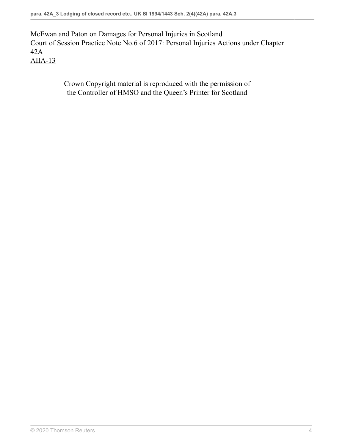McEwan and Paton on Damages for Personal Injuries in Scotland Court of Session Practice Note No.6 of 2017: Personal Injuries Actions under Chapter 42A [AIIA-13](https://uk.westlaw.com/Link/Document/FullText?findType=Y&serNum=466003358&pubNum=231968&refType=UB&originationContext=ukCommentaryReferences&contextData=%28sc.DocLink%29&transitionType=UkCommentaryReferences )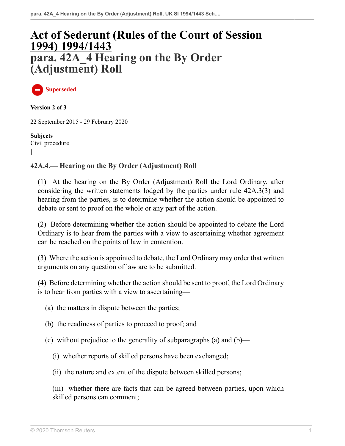# **[Act of Sederunt \(Rules of the Court of Session](http://uk.westlaw.com/Document/I776FB9D0E42311DAA7CF8F68F6EE57AB/View/FullText.html?originationContext=document&transitionType=DocumentItem&vr=3.0&rs=PLUK1.0&contextData=(sc.DocLink)) [1994\) 1994/1443](http://uk.westlaw.com/Document/I776FB9D0E42311DAA7CF8F68F6EE57AB/View/FullText.html?originationContext=document&transitionType=DocumentItem&vr=3.0&rs=PLUK1.0&contextData=(sc.DocLink)) para. 42A\_4 Hearing on the By Order (Adjustment) Roll**

**Superseded**

**Version 2 of 3**

22 September 2015 - 29 February 2020

**Subjects** Civil procedure  $\overline{ }$ 

#### **42A.4.— Hearing on the By Order (Adjustment) Roll**

(1) At the hearing on the By Order (Adjustment) Roll the Lord Ordinary, after considering the written statements lodged by the parties under [rule 42A.3\(3\)](http://uk.westlaw.com/Document/IDEBA0880AC9311E2980088A1C394A1FF/View/FullText.html?originationContext=document&transitionType=DocumentItem&vr=3.0&rs=PLUK1.0&contextData=(sc.DocLink)) and hearing from the parties, is to determine whether the action should be appointed to debate or sent to proof on the whole or any part of the action.

(2) Before determining whether the action should be appointed to debate the Lord Ordinary is to hear from the parties with a view to ascertaining whether agreement can be reached on the points of law in contention.

(3) Where the action is appointed to debate, the Lord Ordinary may order that written arguments on any question of law are to be submitted.

(4) Before determining whether the action should be sent to proof, the Lord Ordinary is to hear from parties with a view to ascertaining—

- (a) the matters in dispute between the parties;
- (b) the readiness of parties to proceed to proof; and
- (c) without prejudice to the generality of subparagraphs (a) and (b)—
	- (i) whether reports of skilled persons have been exchanged;
	- (ii) the nature and extent of the dispute between skilled persons;

(iii) whether there are facts that can be agreed between parties, upon which skilled persons can comment;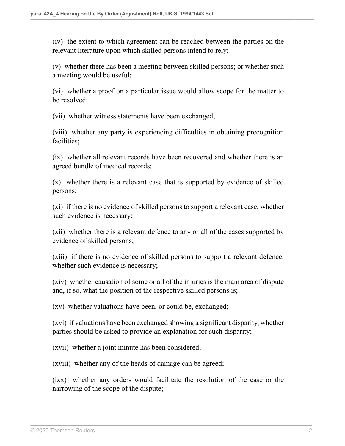(iv) the extent to which agreement can be reached between the parties on the relevant literature upon which skilled persons intend to rely;

(v) whether there has been a meeting between skilled persons; or whether such a meeting would be useful;

(vi) whether a proof on a particular issue would allow scope for the matter to be resolved;

(vii) whether witness statements have been exchanged;

(viii) whether any party is experiencing difficulties in obtaining precognition facilities;

(ix) whether all relevant records have been recovered and whether there is an agreed bundle of medical records;

(x) whether there is a relevant case that is supported by evidence of skilled persons;

(xi) if there is no evidence of skilled persons to support a relevant case, whether such evidence is necessary;

(xii) whether there is a relevant defence to any or all of the cases supported by evidence of skilled persons;

(xiii) if there is no evidence of skilled persons to support a relevant defence, whether such evidence is necessary;

(xiv) whether causation of some or all of the injuries is the main area of dispute and, if so, what the position of the respective skilled persons is;

(xv) whether valuations have been, or could be, exchanged;

(xvi) if valuations have been exchanged showing a significant disparity, whether parties should be asked to provide an explanation for such disparity;

(xvii) whether a joint minute has been considered;

(xviii) whether any of the heads of damage can be agreed;

(ixx) whether any orders would facilitate the resolution of the case or the narrowing of the scope of the dispute;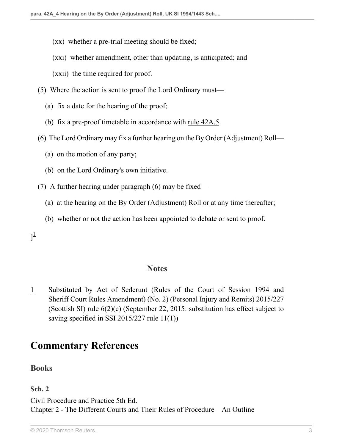- (xx) whether a pre-trial meeting should be fixed;
- (xxi) whether amendment, other than updating, is anticipated; and
- (xxii) the time required for proof.
- (5) Where the action is sent to proof the Lord Ordinary must—
	- (a) fix a date for the hearing of the proof;
	- (b) fix a pre-proof timetable in accordance with <u>rule  $42A.5$ </u>.
- (6) The Lord Ordinary may fix a further hearing on the By Order (Adjustment) Roll—
	- (a) on the motion of any party;
	- (b) on the Lord Ordinary's own initiative.
- (7) A further hearing under paragraph (6) may be fixed—
	- (a) at the hearing on the By Order (Adjustment) Roll or at any time thereafter;
	- (b) whether or not the action has been appointed to debate or sent to proof.

### <span id="page-11-1"></span> $]^{1}$  $]^{1}$  $]^{1}$

#### **Notes**

<span id="page-11-0"></span>[1](#page-11-1) Substituted by Act of Sederunt (Rules of the Court of Session 1994 and Sheriff Court Rules Amendment) (No. 2) (Personal Injury and Remits) 2015/227 (Scottish SI) <u>rule  $6(2)(c)$ </u> (September 22, 2015: substitution has effect subject to saving specified in SSI 2015/227 rule 11(1))

### **Commentary References**

**Books**

**Sch. 2**

Civil Procedure and Practice 5th Ed. Chapter 2 - The Different Courts and Their Rules of Procedure—An Outline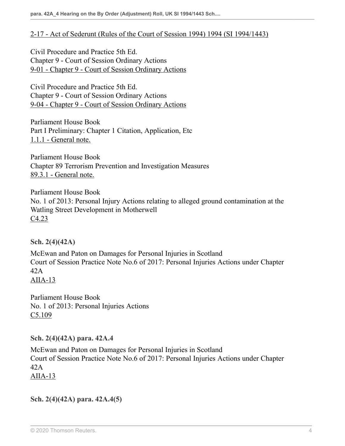#### [2-17 - Act of Sederunt \(Rules of the Court of Session 1994\) 1994 \(SI 1994/1443\)](https://uk.westlaw.com/Link/Document/FullText?findType=Y&serNum=474428184&pubNum=231858&refType=UB&originationContext=ukCommentaryReferences&contextData=%28sc.DocLink%29&transitionType=UkCommentaryReferences )

Civil Procedure and Practice 5th Ed. Chapter 9 - Court of Session Ordinary Actions [9-01 - Chapter 9 - Court of Session Ordinary Actions](https://uk.westlaw.com/Link/Document/FullText?findType=Y&serNum=474428228&pubNum=231858&refType=UB&originationContext=ukCommentaryReferences&contextData=%28sc.DocLink%29&transitionType=UkCommentaryReferences )

Civil Procedure and Practice 5th Ed. Chapter 9 - Court of Session Ordinary Actions [9-04 - Chapter 9 - Court of Session Ordinary Actions](https://uk.westlaw.com/Link/Document/FullText?findType=Y&serNum=474428228&pubNum=231858&refType=UB&originationContext=ukCommentaryReferences&contextData=%28sc.DocLink%29&transitionType=UkCommentaryReferences )

Parliament House Book Part I Preliminary: Chapter 1 Citation, Application, Etc [1.1.1 - General note.](https://uk.westlaw.com/Link/Document/FullText?findType=Y&serNum=492091820&pubNum=231978&refType=UB&originationContext=ukCommentaryReferences&contextData=%28sc.DocLink%29&transitionType=UkCommentaryReferences )

Parliament House Book Chapter 89 Terrorism Prevention and Investigation Measures [89.3.1 - General note.](https://uk.westlaw.com/Link/Document/FullText?findType=Y&serNum=465603293&pubNum=231978&refType=UB&originationContext=ukCommentaryReferences&contextData=%28sc.DocLink%29&transitionType=UkCommentaryReferences )

Parliament House Book No. 1 of 2013: Personal Injury Actions relating to alleged ground contamination at the Watling Street Development in Motherwell [C4.23](https://uk.westlaw.com/Link/Document/FullText?findType=Y&serNum=465603425&pubNum=231978&refType=UB&originationContext=ukCommentaryReferences&contextData=%28sc.DocLink%29&transitionType=UkCommentaryReferences )

**Sch. 2(4)(42A)**

McEwan and Paton on Damages for Personal Injuries in Scotland Court of Session Practice Note No.6 of 2017: Personal Injuries Actions under Chapter  $42A$ [AIIA-13](https://uk.westlaw.com/Link/Document/FullText?findType=Y&serNum=466003358&pubNum=231968&refType=UB&originationContext=ukCommentaryReferences&contextData=%28sc.DocLink%29&transitionType=UkCommentaryReferences )

Parliament House Book No. 1 of 2013: Personal Injuries Actions [C5.109](https://uk.westlaw.com/Link/Document/FullText?findType=Y&serNum=465603539&pubNum=231978&refType=UB&originationContext=ukCommentaryReferences&contextData=%28sc.DocLink%29&transitionType=UkCommentaryReferences )

**Sch. 2(4)(42A) para. 42A.4**

McEwan and Paton on Damages for Personal Injuries in Scotland Court of Session Practice Note No.6 of 2017: Personal Injuries Actions under Chapter 42A [AIIA-13](https://uk.westlaw.com/Link/Document/FullText?findType=Y&serNum=466003358&pubNum=231968&refType=UB&originationContext=ukCommentaryReferences&contextData=%28sc.DocLink%29&transitionType=UkCommentaryReferences )

**Sch. 2(4)(42A) para. 42A.4(5)**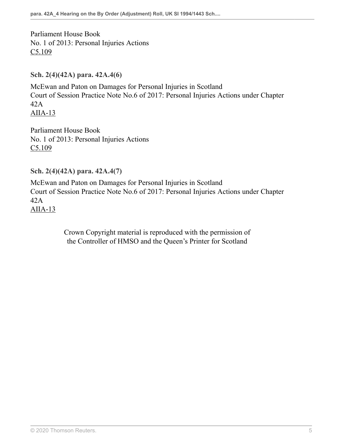Parliament House Book No. 1 of 2013: Personal Injuries Actions [C5.109](https://uk.westlaw.com/Link/Document/FullText?findType=Y&serNum=465603539&pubNum=231978&refType=UB&originationContext=ukCommentaryReferences&contextData=%28sc.DocLink%29&transitionType=UkCommentaryReferences )

**Sch. 2(4)(42A) para. 42A.4(6)**

McEwan and Paton on Damages for Personal Injuries in Scotland Court of Session Practice Note No.6 of 2017: Personal Injuries Actions under Chapter 42A [AIIA-13](https://uk.westlaw.com/Link/Document/FullText?findType=Y&serNum=466003358&pubNum=231968&refType=UB&originationContext=ukCommentaryReferences&contextData=%28sc.DocLink%29&transitionType=UkCommentaryReferences )

Parliament House Book No. 1 of 2013: Personal Injuries Actions C<sub>5.109</sub>

**Sch. 2(4)(42A) para. 42A.4(7)**

McEwan and Paton on Damages for Personal Injuries in Scotland Court of Session Practice Note No.6 of 2017: Personal Injuries Actions under Chapter 42A [AIIA-13](https://uk.westlaw.com/Link/Document/FullText?findType=Y&serNum=466003358&pubNum=231968&refType=UB&originationContext=ukCommentaryReferences&contextData=%28sc.DocLink%29&transitionType=UkCommentaryReferences )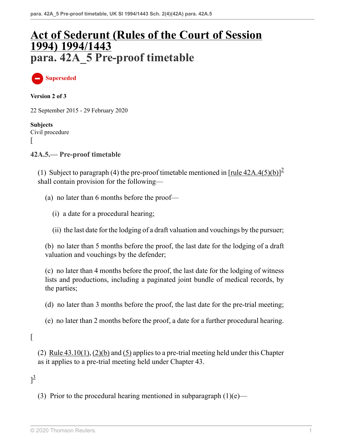# **[Act of Sederunt \(Rules of the Court of Session](http://uk.westlaw.com/Document/I776FB9D0E42311DAA7CF8F68F6EE57AB/View/FullText.html?originationContext=document&transitionType=DocumentItem&vr=3.0&rs=PLUK1.0&contextData=(sc.DocLink)) [1994\) 1994/1443](http://uk.westlaw.com/Document/I776FB9D0E42311DAA7CF8F68F6EE57AB/View/FullText.html?originationContext=document&transitionType=DocumentItem&vr=3.0&rs=PLUK1.0&contextData=(sc.DocLink)) para. 42A\_5 Pre-proof timetable**

**Superseded**

**Version 2 of 3**

22 September 2015 - 29 February 2020

**Subjects** Civil procedure [

**42A.5.— Pre-proof timetable**

(1) Subject to paragraph (4) the pre-proof timetable mentioned in  $[\text{rule } 42A.4(5)(b)]^2$  $[\text{rule } 42A.4(5)(b)]^2$  $[\text{rule } 42A.4(5)(b)]^2$ shall contain provision for the following—

- <span id="page-14-0"></span>(a) no later than 6 months before the proof—
	- (i) a date for a procedural hearing;
	- (ii) the last date for the lodging of a draft valuation and vouchings by the pursuer;

(b) no later than 5 months before the proof, the last date for the lodging of a draft valuation and vouchings by the defender;

(c) no later than 4 months before the proof, the last date for the lodging of witness lists and productions, including a paginated joint bundle of medical records, by the parties;

- (d) no later than 3 months before the proof, the last date for the pre-trial meeting;
- (e) no later than 2 months before the proof, a date for a further procedural hearing.

#### $\lceil$

(2) Rule  $43.10(1)$ ,  $(2)(b)$  and  $(5)$  applies to a pre-trial meeting held under this Chapter as it applies to a pre-trial meeting held under Chapter 43.

### <span id="page-14-1"></span> $]$ <sup>[3](#page-15-1)</sup>

(3) Prior to the procedural hearing mentioned in subparagraph  $(1)(e)$ —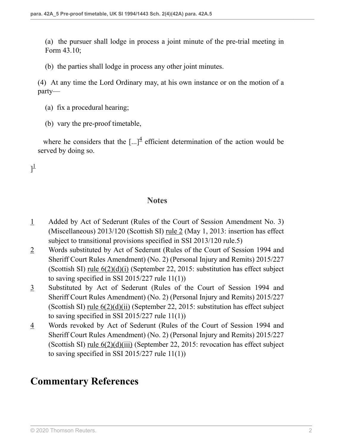(a) the pursuer shall lodge in process a joint minute of the pre-trial meeting in Form 43.10;

(b) the parties shall lodge in process any other joint minutes.

(4) At any time the Lord Ordinary may, at his own instance or on the motion of a party—

(a) fix a procedural hearing;

<span id="page-15-4"></span> $]^{1}$  $]^{1}$  $]^{1}$ 

(b) vary the pre-proof timetable,

where he considers that the  $\left[...\right]^4$  $\left[...\right]^4$  efficient determination of the action would be served by doing so.

#### <span id="page-15-5"></span>**Notes**

- <span id="page-15-3"></span>[1](#page-15-4) Added by Act of Sederunt (Rules of the Court of Session Amendment No. 3) (Miscellaneous) 2013/120 (Scottish SI) [rule 2](http://uk.westlaw.com/Document/I3FFB53109DD011E299449EB47CA92303/View/FullText.html?originationContext=document&transitionType=DocumentItem&vr=3.0&rs=PLUK1.0&contextData=(sc.DocLink)) (May 1, 2013: insertion has effect subject to transitional provisions specified in SSI 2013/120 rule.5)
- <span id="page-15-0"></span>[2](#page-14-0) Words substituted by Act of Sederunt (Rules of the Court of Session 1994 and Sheriff Court Rules Amendment) (No. 2) (Personal Injury and Remits) 2015/227 (Scottish SI) <u>rule  $6(2)(d)(i)$ </u> (September 22, 2015: substitution has effect subject to saving specified in SSI 2015/227 rule 11(1))
- <span id="page-15-1"></span>[3](#page-14-1) Substituted by Act of Sederunt (Rules of the Court of Session 1994 and Sheriff Court Rules Amendment) (No. 2) (Personal Injury and Remits) 2015/227 (Scottish SI) [rule 6\(2\)\(d\)\(ii\)](http://uk.westlaw.com/Document/I3D9CC2A00F1D11E58C9EC6045C652645/View/FullText.html?originationContext=document&transitionType=DocumentItem&vr=3.0&rs=PLUK1.0&contextData=(sc.DocLink)) (September 22, 2015: substitution has effect subject to saving specified in SSI 2015/227 rule 11(1))
- <span id="page-15-2"></span>[4](#page-15-5) Words revoked by Act of Sederunt (Rules of the Court of Session 1994 and Sheriff Court Rules Amendment) (No. 2) (Personal Injury and Remits) 2015/227 (Scottish SI) rule  $6(2)(d)(iii)$  (September 22, 2015: revocation has effect subject to saving specified in SSI 2015/227 rule 11(1))

## **Commentary References**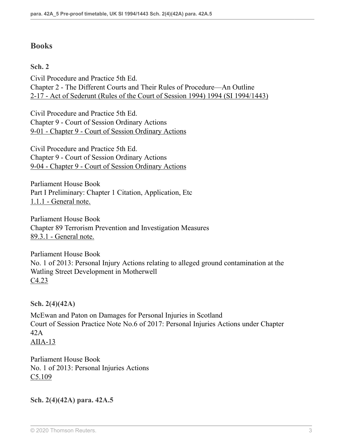### **Books**

**Sch. 2**

Civil Procedure and Practice 5th Ed. Chapter 2 - The Different Courts and Their Rules of Procedure—An Outline [2-17 - Act of Sederunt \(Rules of the Court of Session 1994\) 1994 \(SI 1994/1443\)](https://uk.westlaw.com/Link/Document/FullText?findType=Y&serNum=474428184&pubNum=231858&refType=UB&originationContext=ukCommentaryReferences&contextData=%28sc.DocLink%29&transitionType=UkCommentaryReferences )

Civil Procedure and Practice 5th Ed. Chapter 9 - Court of Session Ordinary Actions [9-01 - Chapter 9 - Court of Session Ordinary Actions](https://uk.westlaw.com/Link/Document/FullText?findType=Y&serNum=474428228&pubNum=231858&refType=UB&originationContext=ukCommentaryReferences&contextData=%28sc.DocLink%29&transitionType=UkCommentaryReferences )

Civil Procedure and Practice 5th Ed. Chapter 9 - Court of Session Ordinary Actions [9-04 - Chapter 9 - Court of Session Ordinary Actions](https://uk.westlaw.com/Link/Document/FullText?findType=Y&serNum=474428228&pubNum=231858&refType=UB&originationContext=ukCommentaryReferences&contextData=%28sc.DocLink%29&transitionType=UkCommentaryReferences )

Parliament House Book Part I Preliminary: Chapter 1 Citation, Application, Etc [1.1.1 - General note.](https://uk.westlaw.com/Link/Document/FullText?findType=Y&serNum=492091820&pubNum=231978&refType=UB&originationContext=ukCommentaryReferences&contextData=%28sc.DocLink%29&transitionType=UkCommentaryReferences )

Parliament House Book Chapter 89 Terrorism Prevention and Investigation Measures [89.3.1 - General note.](https://uk.westlaw.com/Link/Document/FullText?findType=Y&serNum=465603293&pubNum=231978&refType=UB&originationContext=ukCommentaryReferences&contextData=%28sc.DocLink%29&transitionType=UkCommentaryReferences )

Parliament House Book No. 1 of 2013: Personal Injury Actions relating to alleged ground contamination at the Watling Street Development in Motherwell [C4.23](https://uk.westlaw.com/Link/Document/FullText?findType=Y&serNum=465603425&pubNum=231978&refType=UB&originationContext=ukCommentaryReferences&contextData=%28sc.DocLink%29&transitionType=UkCommentaryReferences )

**Sch. 2(4)(42A)**

McEwan and Paton on Damages for Personal Injuries in Scotland Court of Session Practice Note No.6 of 2017: Personal Injuries Actions under Chapter 42A  $AIIA-13$ 

Parliament House Book No. 1 of 2013: Personal Injuries Actions [C5.109](https://uk.westlaw.com/Link/Document/FullText?findType=Y&serNum=465603539&pubNum=231978&refType=UB&originationContext=ukCommentaryReferences&contextData=%28sc.DocLink%29&transitionType=UkCommentaryReferences )

**Sch. 2(4)(42A) para. 42A.5**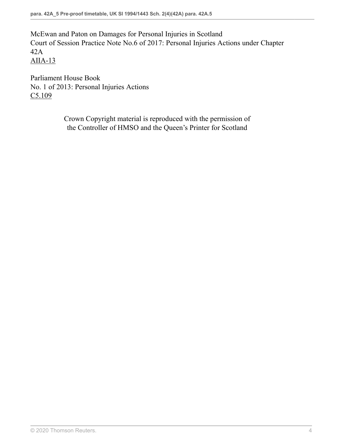McEwan and Paton on Damages for Personal Injuries in Scotland Court of Session Practice Note No.6 of 2017: Personal Injuries Actions under Chapter 42A [AIIA-13](https://uk.westlaw.com/Link/Document/FullText?findType=Y&serNum=466003358&pubNum=231968&refType=UB&originationContext=ukCommentaryReferences&contextData=%28sc.DocLink%29&transitionType=UkCommentaryReferences )

Parliament House Book No. 1 of 2013: Personal Injuries Actions [C5.109](https://uk.westlaw.com/Link/Document/FullText?findType=Y&serNum=465603539&pubNum=231978&refType=UB&originationContext=ukCommentaryReferences&contextData=%28sc.DocLink%29&transitionType=UkCommentaryReferences )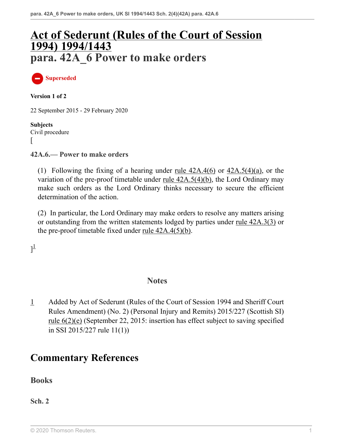# **[Act of Sederunt \(Rules of the Court of Session](http://uk.westlaw.com/Document/I776FB9D0E42311DAA7CF8F68F6EE57AB/View/FullText.html?originationContext=document&transitionType=DocumentItem&vr=3.0&rs=PLUK1.0&contextData=(sc.DocLink)) [1994\) 1994/1443](http://uk.westlaw.com/Document/I776FB9D0E42311DAA7CF8F68F6EE57AB/View/FullText.html?originationContext=document&transitionType=DocumentItem&vr=3.0&rs=PLUK1.0&contextData=(sc.DocLink)) para. 42A\_6 Power to make orders**

**Superseded**

**Version 1 of 2**

22 September 2015 - 29 February 2020

**Subjects** Civil procedure  $\mathbf{I}$ 

**42A.6.— Power to make orders**

(1) Following the fixing of a hearing under <u>rule  $42A.4(6)$ </u> or  $42A.5(4)(a)$ , or the variation of the pre-proof timetable under [rule 42A.5\(4\)\(b\)](http://uk.westlaw.com/Document/IDEBA56A0AC9311E2980088A1C394A1FF/View/FullText.html?originationContext=document&transitionType=DocumentItem&vr=3.0&rs=PLUK1.0&contextData=(sc.DocLink)), the Lord Ordinary may make such orders as the Lord Ordinary thinks necessary to secure the efficient determination of the action.

(2) In particular, the Lord Ordinary may make orders to resolve any matters arising or outstanding from the written statements lodged by parties under [rule 42A.3\(3\)](http://uk.westlaw.com/Document/IDEBA0880AC9311E2980088A1C394A1FF/View/FullText.html?originationContext=document&transitionType=DocumentItem&vr=3.0&rs=PLUK1.0&contextData=(sc.DocLink)) or the pre-proof timetable fixed under <u>rule  $42A.4(5)(b)$ </u>.

<span id="page-18-1"></span> $]^{1}$  $]^{1}$  $]^{1}$ 

#### **Notes**

<span id="page-18-0"></span>[1](#page-18-1) Added by Act of Sederunt (Rules of the Court of Session 1994 and Sheriff Court Rules Amendment) (No. 2) (Personal Injury and Remits) 2015/227 (Scottish SI) [rule 6\(2\)\(e\)](http://uk.westlaw.com/Document/I3D9CC2A00F1D11E58C9EC6045C652645/View/FullText.html?originationContext=document&transitionType=DocumentItem&vr=3.0&rs=PLUK1.0&contextData=(sc.DocLink)) (September 22, 2015: insertion has effect subject to saving specified in SSI 2015/227 rule 11(1))

## **Commentary References**

#### **Books**

**Sch. 2**